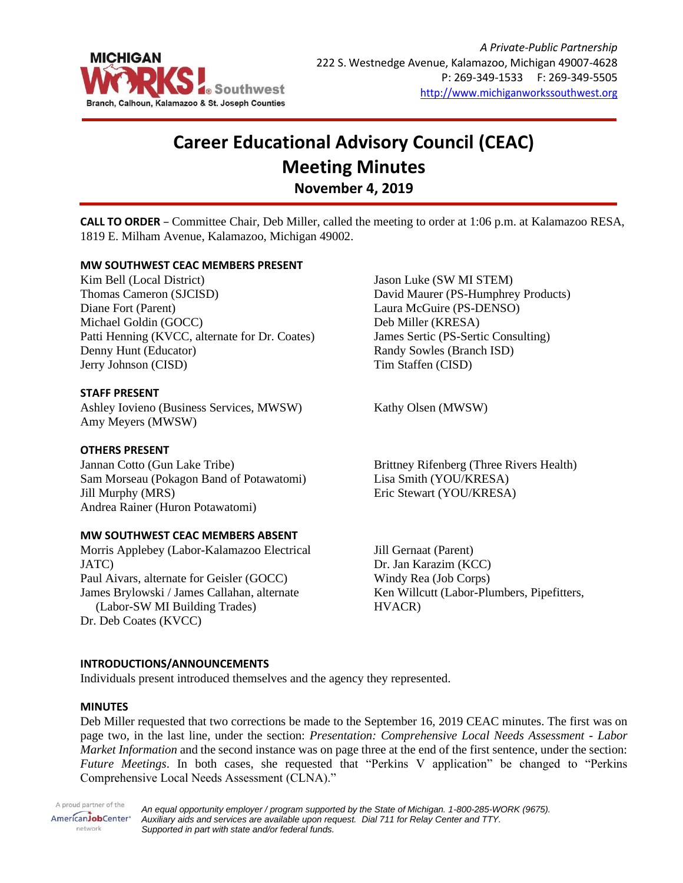

# **Career Educational Advisory Council (CEAC) Meeting Minutes November 4, 2019**

**CALL TO ORDER** – Committee Chair, Deb Miller, called the meeting to order at 1:06 p.m. at Kalamazoo RESA, 1819 E. Milham Avenue, Kalamazoo, Michigan 49002.

# **MW SOUTHWEST CEAC MEMBERS PRESENT**

Kim Bell (Local District) Thomas Cameron (SJCISD) Diane Fort (Parent) Michael Goldin (GOCC) Patti Henning (KVCC, alternate for Dr. Coates) Denny Hunt (Educator) Jerry Johnson (CISD)

### **STAFF PRESENT**

Ashley Iovieno (Business Services, MWSW) Amy Meyers (MWSW)

# **OTHERS PRESENT**

Jannan Cotto (Gun Lake Tribe) Sam Morseau (Pokagon Band of Potawatomi) Jill Murphy (MRS) Andrea Rainer (Huron Potawatomi)

### **MW SOUTHWEST CEAC MEMBERS ABSENT**

Morris Applebey (Labor-Kalamazoo Electrical JATC) Paul Aivars, alternate for Geisler (GOCC) James Brylowski / James Callahan, alternate (Labor-SW MI Building Trades) Dr. Deb Coates (KVCC)

Jason Luke (SW MI STEM) David Maurer (PS-Humphrey Products) Laura McGuire (PS-DENSO) Deb Miller (KRESA) James Sertic (PS-Sertic Consulting) Randy Sowles (Branch ISD) Tim Staffen (CISD)

Kathy Olsen (MWSW)

Brittney Rifenberg (Three Rivers Health) Lisa Smith (YOU/KRESA) Eric Stewart (YOU/KRESA)

Jill Gernaat (Parent) Dr. Jan Karazim (KCC) Windy Rea (Job Corps) Ken Willcutt (Labor-Plumbers, Pipefitters, HVACR)

### **INTRODUCTIONS/ANNOUNCEMENTS**

Individuals present introduced themselves and the agency they represented.

### **MINUTES**

Deb Miller requested that two corrections be made to the September 16, 2019 CEAC minutes. The first was on page two, in the last line, under the section: *Presentation: Comprehensive Local Needs Assessment - Labor Market Information* and the second instance was on page three at the end of the first sentence, under the section: *Future Meetings*. In both cases, she requested that "Perkins V application" be changed to "Perkins Comprehensive Local Needs Assessment (CLNA)."

A proud partner of the AmericanJobCenter\* network

*An equal opportunity employer / program supported by the State of Michigan. 1-800-285-WORK (9675). Auxiliary aids and services are available upon request. Dial 711 for Relay Center and TTY. Supported in part with state and/or federal funds.*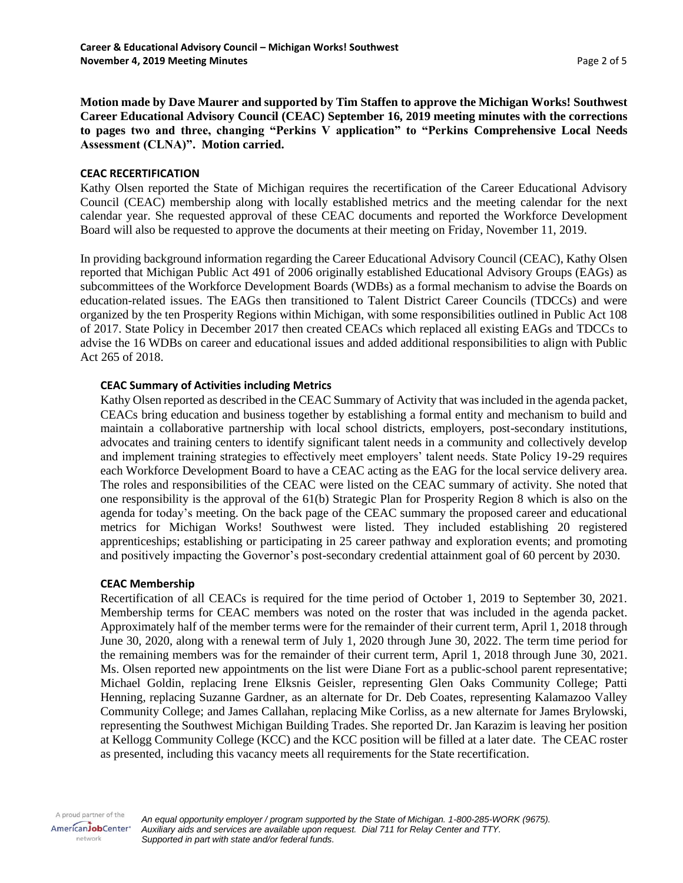**Motion made by Dave Maurer and supported by Tim Staffen to approve the Michigan Works! Southwest Career Educational Advisory Council (CEAC) September 16, 2019 meeting minutes with the corrections to pages two and three, changing "Perkins V application" to "Perkins Comprehensive Local Needs Assessment (CLNA)". Motion carried.**

## **CEAC RECERTIFICATION**

Kathy Olsen reported the State of Michigan requires the recertification of the Career Educational Advisory Council (CEAC) membership along with locally established metrics and the meeting calendar for the next calendar year. She requested approval of these CEAC documents and reported the Workforce Development Board will also be requested to approve the documents at their meeting on Friday, November 11, 2019.

In providing background information regarding the Career Educational Advisory Council (CEAC), Kathy Olsen reported that Michigan Public Act 491 of 2006 originally established Educational Advisory Groups (EAGs) as subcommittees of the Workforce Development Boards (WDBs) as a formal mechanism to advise the Boards on education-related issues. The EAGs then transitioned to Talent District Career Councils (TDCCs) and were organized by the ten Prosperity Regions within Michigan, with some responsibilities outlined in Public Act 108 of 2017. State Policy in December 2017 then created CEACs which replaced all existing EAGs and TDCCs to advise the 16 WDBs on career and educational issues and added additional responsibilities to align with Public Act 265 of 2018.

## **CEAC Summary of Activities including Metrics**

Kathy Olsen reported as described in the CEAC Summary of Activity that was included in the agenda packet, CEACs bring education and business together by establishing a formal entity and mechanism to build and maintain a collaborative partnership with local school districts, employers, post-secondary institutions, advocates and training centers to identify significant talent needs in a community and collectively develop and implement training strategies to effectively meet employers' talent needs. State Policy 19-29 requires each Workforce Development Board to have a CEAC acting as the EAG for the local service delivery area. The roles and responsibilities of the CEAC were listed on the CEAC summary of activity. She noted that one responsibility is the approval of the 61(b) Strategic Plan for Prosperity Region 8 which is also on the agenda for today's meeting. On the back page of the CEAC summary the proposed career and educational metrics for Michigan Works! Southwest were listed. They included establishing 20 registered apprenticeships; establishing or participating in 25 career pathway and exploration events; and promoting and positively impacting the Governor's post-secondary credential attainment goal of 60 percent by 2030.

### **CEAC Membership**

Recertification of all CEACs is required for the time period of October 1, 2019 to September 30, 2021. Membership terms for CEAC members was noted on the roster that was included in the agenda packet. Approximately half of the member terms were for the remainder of their current term, April 1, 2018 through June 30, 2020, along with a renewal term of July 1, 2020 through June 30, 2022. The term time period for the remaining members was for the remainder of their current term, April 1, 2018 through June 30, 2021. Ms. Olsen reported new appointments on the list were Diane Fort as a public-school parent representative; Michael Goldin, replacing Irene Elksnis Geisler, representing Glen Oaks Community College; Patti Henning, replacing Suzanne Gardner, as an alternate for Dr. Deb Coates, representing Kalamazoo Valley Community College; and James Callahan, replacing Mike Corliss, as a new alternate for James Brylowski, representing the Southwest Michigan Building Trades. She reported Dr. Jan Karazim is leaving her position at Kellogg Community College (KCC) and the KCC position will be filled at a later date. The CEAC roster as presented, including this vacancy meets all requirements for the State recertification.

A proud partner of the AmericanJobCenter\* network

*An equal opportunity employer / program supported by the State of Michigan. 1-800-285-WORK (9675). Auxiliary aids and services are available upon request. Dial 711 for Relay Center and TTY. Supported in part with state and/or federal funds.*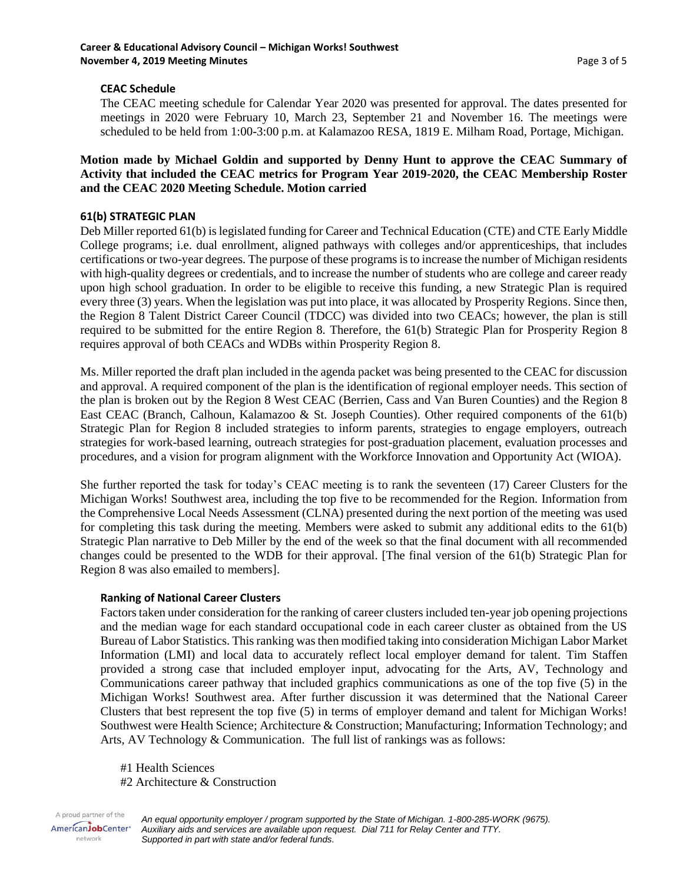# **CEAC Schedule**

The CEAC meeting schedule for Calendar Year 2020 was presented for approval. The dates presented for meetings in 2020 were February 10, March 23, September 21 and November 16. The meetings were scheduled to be held from 1:00-3:00 p.m. at Kalamazoo RESA, 1819 E. Milham Road, Portage, Michigan.

# **Motion made by Michael Goldin and supported by Denny Hunt to approve the CEAC Summary of Activity that included the CEAC metrics for Program Year 2019-2020, the CEAC Membership Roster and the CEAC 2020 Meeting Schedule. Motion carried**

# **61(b) STRATEGIC PLAN**

Deb Miller reported 61(b) is legislated funding for Career and Technical Education (CTE) and CTE Early Middle College programs; i.e. dual enrollment, aligned pathways with colleges and/or apprenticeships, that includes certifications or two-year degrees. The purpose of these programs is to increase the number of Michigan residents with high-quality degrees or credentials, and to increase the number of students who are college and career ready upon high school graduation. In order to be eligible to receive this funding, a new Strategic Plan is required every three (3) years. When the legislation was put into place, it was allocated by Prosperity Regions. Since then, the Region 8 Talent District Career Council (TDCC) was divided into two CEACs; however, the plan is still required to be submitted for the entire Region 8. Therefore, the 61(b) Strategic Plan for Prosperity Region 8 requires approval of both CEACs and WDBs within Prosperity Region 8.

Ms. Miller reported the draft plan included in the agenda packet was being presented to the CEAC for discussion and approval. A required component of the plan is the identification of regional employer needs. This section of the plan is broken out by the Region 8 West CEAC (Berrien, Cass and Van Buren Counties) and the Region 8 East CEAC (Branch, Calhoun, Kalamazoo & St. Joseph Counties). Other required components of the 61(b) Strategic Plan for Region 8 included strategies to inform parents, strategies to engage employers, outreach strategies for work-based learning, outreach strategies for post-graduation placement, evaluation processes and procedures, and a vision for program alignment with the Workforce Innovation and Opportunity Act (WIOA).

She further reported the task for today's CEAC meeting is to rank the seventeen (17) Career Clusters for the Michigan Works! Southwest area, including the top five to be recommended for the Region. Information from the Comprehensive Local Needs Assessment (CLNA) presented during the next portion of the meeting was used for completing this task during the meeting. Members were asked to submit any additional edits to the 61(b) Strategic Plan narrative to Deb Miller by the end of the week so that the final document with all recommended changes could be presented to the WDB for their approval. [The final version of the 61(b) Strategic Plan for Region 8 was also emailed to members].

# **Ranking of National Career Clusters**

Factors taken under consideration for the ranking of career clusters included ten-year job opening projections and the median wage for each standard occupational code in each career cluster as obtained from the US Bureau of Labor Statistics. This ranking was then modified taking into consideration Michigan Labor Market Information (LMI) and local data to accurately reflect local employer demand for talent. Tim Staffen provided a strong case that included employer input, advocating for the Arts, AV, Technology and Communications career pathway that included graphics communications as one of the top five (5) in the Michigan Works! Southwest area. After further discussion it was determined that the National Career Clusters that best represent the top five (5) in terms of employer demand and talent for Michigan Works! Southwest were Health Science; Architecture & Construction; Manufacturing; Information Technology; and Arts, AV Technology & Communication. The full list of rankings was as follows:

#1 Health Sciences

#2 Architecture & Construction

A proud partner of the *An equal opportunity employer / program supported by the State of Michigan. 1-800-285-WORK (9675).* AmericanJobCenter\* *Auxiliary aids and services are available upon request. Dial 711 for Relay Center and TTY.* network *Supported in part with state and/or federal funds.*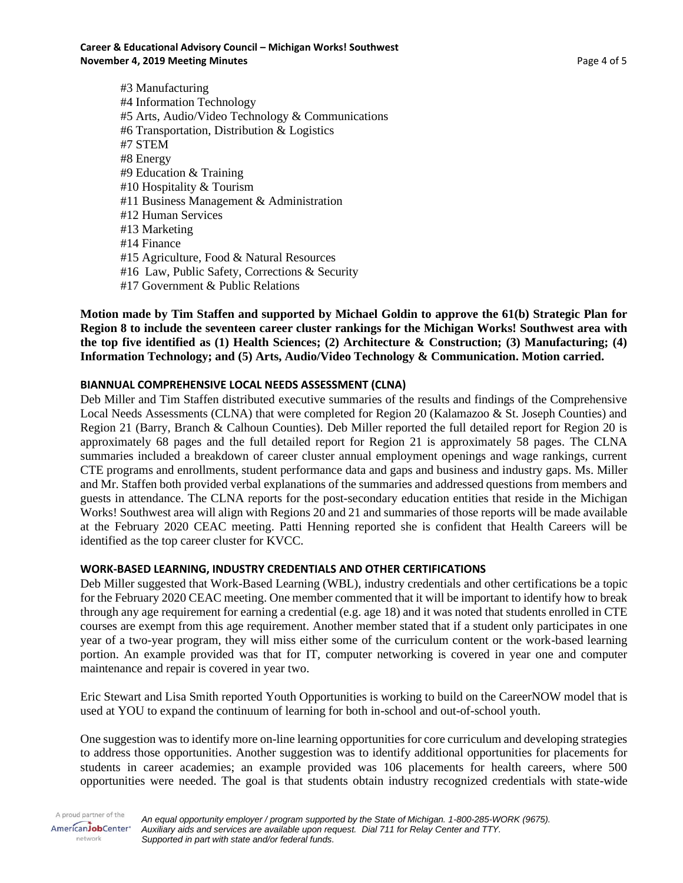#3 Manufacturing #4 Information Technology #5 Arts, Audio/Video Technology & Communications #6 Transportation, Distribution & Logistics #7 STEM #8 Energy #9 Education & Training #10 Hospitality & Tourism #11 Business Management & Administration #12 Human Services #13 Marketing #14 Finance #15 Agriculture, Food & Natural Resources #16 Law, Public Safety, Corrections & Security #17 Government & Public Relations

**Motion made by Tim Staffen and supported by Michael Goldin to approve the 61(b) Strategic Plan for Region 8 to include the seventeen career cluster rankings for the Michigan Works! Southwest area with the top five identified as (1) Health Sciences; (2) Architecture & Construction; (3) Manufacturing; (4) Information Technology; and (5) Arts, Audio/Video Technology & Communication. Motion carried.**

# **BIANNUAL COMPREHENSIVE LOCAL NEEDS ASSESSMENT (CLNA)**

Deb Miller and Tim Staffen distributed executive summaries of the results and findings of the Comprehensive Local Needs Assessments (CLNA) that were completed for Region 20 (Kalamazoo & St. Joseph Counties) and Region 21 (Barry, Branch & Calhoun Counties). Deb Miller reported the full detailed report for Region 20 is approximately 68 pages and the full detailed report for Region 21 is approximately 58 pages. The CLNA summaries included a breakdown of career cluster annual employment openings and wage rankings, current CTE programs and enrollments, student performance data and gaps and business and industry gaps. Ms. Miller and Mr. Staffen both provided verbal explanations of the summaries and addressed questions from members and guests in attendance. The CLNA reports for the post-secondary education entities that reside in the Michigan Works! Southwest area will align with Regions 20 and 21 and summaries of those reports will be made available at the February 2020 CEAC meeting. Patti Henning reported she is confident that Health Careers will be identified as the top career cluster for KVCC.

# **WORK-BASED LEARNING, INDUSTRY CREDENTIALS AND OTHER CERTIFICATIONS**

Deb Miller suggested that Work-Based Learning (WBL), industry credentials and other certifications be a topic for the February 2020 CEAC meeting. One member commented that it will be important to identify how to break through any age requirement for earning a credential (e.g. age 18) and it was noted that students enrolled in CTE courses are exempt from this age requirement. Another member stated that if a student only participates in one year of a two-year program, they will miss either some of the curriculum content or the work-based learning portion. An example provided was that for IT, computer networking is covered in year one and computer maintenance and repair is covered in year two.

Eric Stewart and Lisa Smith reported Youth Opportunities is working to build on the CareerNOW model that is used at YOU to expand the continuum of learning for both in-school and out-of-school youth.

One suggestion was to identify more on-line learning opportunities for core curriculum and developing strategies to address those opportunities. Another suggestion was to identify additional opportunities for placements for students in career academies; an example provided was 106 placements for health careers, where 500 opportunities were needed. The goal is that students obtain industry recognized credentials with state-wide